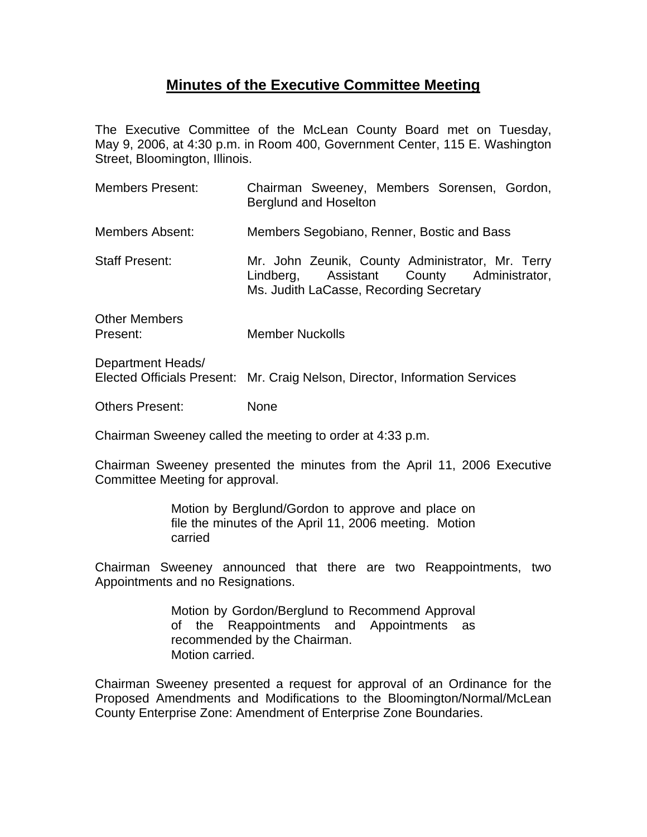## **Minutes of the Executive Committee Meeting**

The Executive Committee of the McLean County Board met on Tuesday, May 9, 2006, at 4:30 p.m. in Room 400, Government Center, 115 E. Washington Street, Bloomington, Illinois.

| <b>Members Present:</b>   | Chairman Sweeney, Members Sorensen, Gordon,<br>Berglund and Hoselton                                                                     |
|---------------------------|------------------------------------------------------------------------------------------------------------------------------------------|
| Members Absent:           | Members Segobiano, Renner, Bostic and Bass                                                                                               |
| <b>Staff Present:</b>     | Mr. John Zeunik, County Administrator, Mr. Terry<br>Lindberg, Assistant County Administrator,<br>Ms. Judith LaCasse, Recording Secretary |
| Other Members<br>Present: | <b>Member Nuckolls</b>                                                                                                                   |
| Department Heads/         |                                                                                                                                          |

Elected Officials Present: Mr. Craig Nelson, Director, Information Services

Others Present: None

Chairman Sweeney called the meeting to order at 4:33 p.m.

Chairman Sweeney presented the minutes from the April 11, 2006 Executive Committee Meeting for approval.

> Motion by Berglund/Gordon to approve and place on file the minutes of the April 11, 2006 meeting. Motion carried

Chairman Sweeney announced that there are two Reappointments, two Appointments and no Resignations.

> Motion by Gordon/Berglund to Recommend Approval of the Reappointments and Appointments as recommended by the Chairman. Motion carried.

Chairman Sweeney presented a request for approval of an Ordinance for the Proposed Amendments and Modifications to the Bloomington/Normal/McLean County Enterprise Zone: Amendment of Enterprise Zone Boundaries.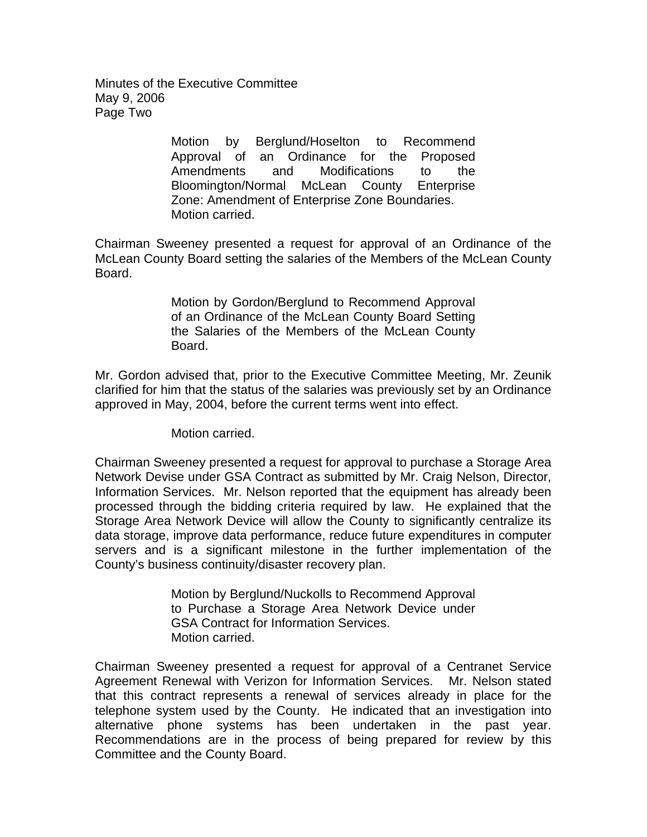Minutes of the Executive Committee May 9, 2006 Page Two

> Motion by Berglund/Hoselton to Recommend Approval of an Ordinance for the Proposed Amendments and Modifications to the Bloomington/Normal McLean County Enterprise Zone: Amendment of Enterprise Zone Boundaries. Motion carried.

Chairman Sweeney presented a request for approval of an Ordinance of the McLean County Board setting the salaries of the Members of the McLean County Board.

> Motion by Gordon/Berglund to Recommend Approval of an Ordinance of the McLean County Board Setting the Salaries of the Members of the McLean County Board.

Mr. Gordon advised that, prior to the Executive Committee Meeting, Mr. Zeunik clarified for him that the status of the salaries was previously set by an Ordinance approved in May, 2004, before the current terms went into effect.

Motion carried.

Chairman Sweeney presented a request for approval to purchase a Storage Area Network Devise under GSA Contract as submitted by Mr. Craig Nelson, Director, Information Services. Mr. Nelson reported that the equipment has already been processed through the bidding criteria required by law. He explained that the Storage Area Network Device will allow the County to significantly centralize its data storage, improve data performance, reduce future expenditures in computer servers and is a significant milestone in the further implementation of the County's business continuity/disaster recovery plan.

> Motion by Berglund/Nuckolls to Recommend Approval to Purchase a Storage Area Network Device under GSA Contract for Information Services. Motion carried.

Chairman Sweeney presented a request for approval of a Centranet Service Agreement Renewal with Verizon for Information Services. Mr. Nelson stated that this contract represents a renewal of services already in place for the telephone system used by the County. He indicated that an investigation into alternative phone systems has been undertaken in the past year. Recommendations are in the process of being prepared for review by this Committee and the County Board.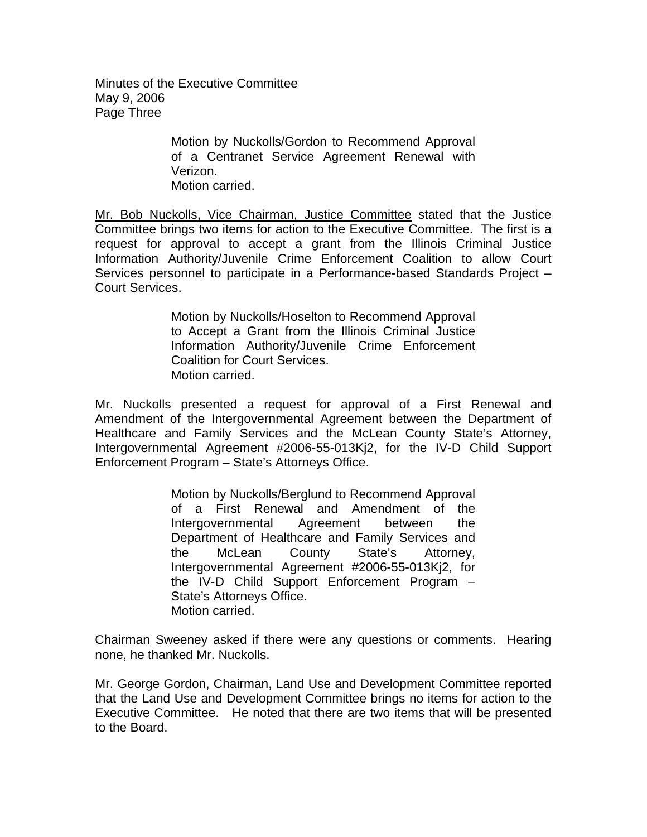Minutes of the Executive Committee May 9, 2006 Page Three

> Motion by Nuckolls/Gordon to Recommend Approval of a Centranet Service Agreement Renewal with Verizon. Motion carried.

Mr. Bob Nuckolls, Vice Chairman, Justice Committee stated that the Justice Committee brings two items for action to the Executive Committee. The first is a request for approval to accept a grant from the Illinois Criminal Justice Information Authority/Juvenile Crime Enforcement Coalition to allow Court Services personnel to participate in a Performance-based Standards Project – Court Services.

> Motion by Nuckolls/Hoselton to Recommend Approval to Accept a Grant from the Illinois Criminal Justice Information Authority/Juvenile Crime Enforcement Coalition for Court Services. Motion carried.

Mr. Nuckolls presented a request for approval of a First Renewal and Amendment of the Intergovernmental Agreement between the Department of Healthcare and Family Services and the McLean County State's Attorney, Intergovernmental Agreement #2006-55-013Kj2, for the IV-D Child Support Enforcement Program – State's Attorneys Office.

> Motion by Nuckolls/Berglund to Recommend Approval of a First Renewal and Amendment of the Intergovernmental Agreement between the Department of Healthcare and Family Services and the McLean County State's Attorney, Intergovernmental Agreement #2006-55-013Kj2, for the IV-D Child Support Enforcement Program – State's Attorneys Office. Motion carried.

Chairman Sweeney asked if there were any questions or comments. Hearing none, he thanked Mr. Nuckolls.

Mr. George Gordon, Chairman, Land Use and Development Committee reported that the Land Use and Development Committee brings no items for action to the Executive Committee. He noted that there are two items that will be presented to the Board.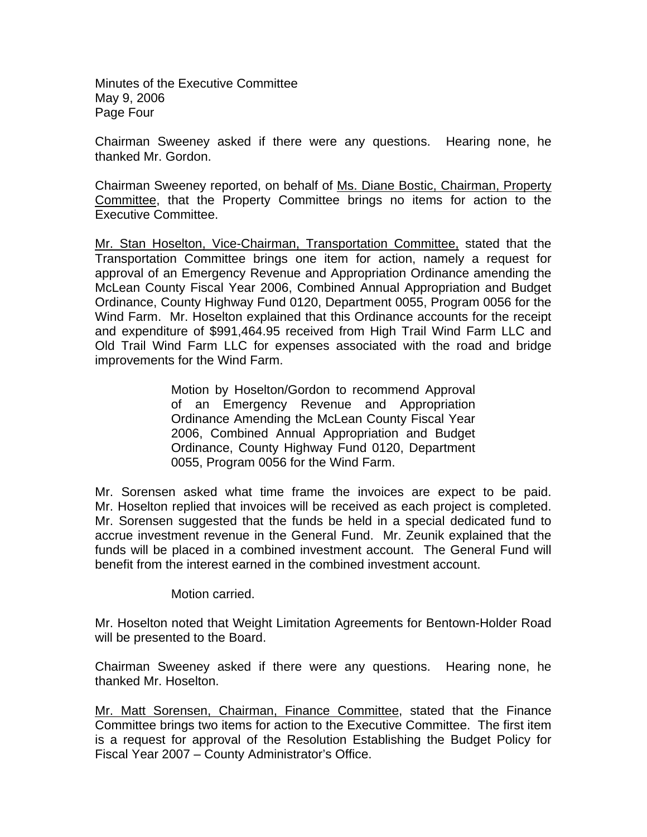Minutes of the Executive Committee May 9, 2006 Page Four

Chairman Sweeney asked if there were any questions. Hearing none, he thanked Mr. Gordon.

Chairman Sweeney reported, on behalf of Ms. Diane Bostic, Chairman, Property Committee, that the Property Committee brings no items for action to the Executive Committee.

Mr. Stan Hoselton, Vice-Chairman, Transportation Committee, stated that the Transportation Committee brings one item for action, namely a request for approval of an Emergency Revenue and Appropriation Ordinance amending the McLean County Fiscal Year 2006, Combined Annual Appropriation and Budget Ordinance, County Highway Fund 0120, Department 0055, Program 0056 for the Wind Farm. Mr. Hoselton explained that this Ordinance accounts for the receipt and expenditure of \$991,464.95 received from High Trail Wind Farm LLC and Old Trail Wind Farm LLC for expenses associated with the road and bridge improvements for the Wind Farm.

> Motion by Hoselton/Gordon to recommend Approval of an Emergency Revenue and Appropriation Ordinance Amending the McLean County Fiscal Year 2006, Combined Annual Appropriation and Budget Ordinance, County Highway Fund 0120, Department 0055, Program 0056 for the Wind Farm.

Mr. Sorensen asked what time frame the invoices are expect to be paid. Mr. Hoselton replied that invoices will be received as each project is completed. Mr. Sorensen suggested that the funds be held in a special dedicated fund to accrue investment revenue in the General Fund. Mr. Zeunik explained that the funds will be placed in a combined investment account. The General Fund will benefit from the interest earned in the combined investment account.

Motion carried.

Mr. Hoselton noted that Weight Limitation Agreements for Bentown-Holder Road will be presented to the Board.

Chairman Sweeney asked if there were any questions. Hearing none, he thanked Mr. Hoselton.

Mr. Matt Sorensen, Chairman, Finance Committee, stated that the Finance Committee brings two items for action to the Executive Committee. The first item is a request for approval of the Resolution Establishing the Budget Policy for Fiscal Year 2007 – County Administrator's Office.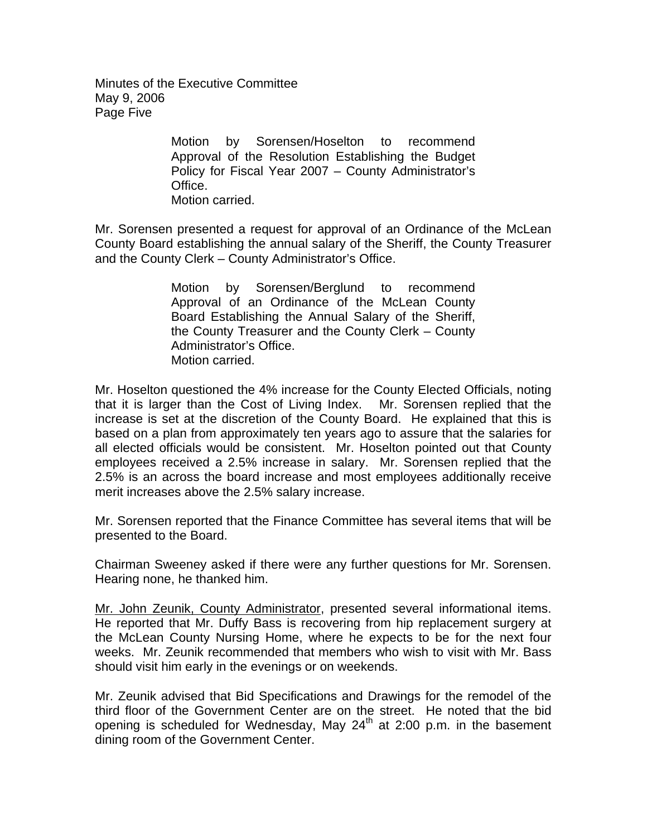Minutes of the Executive Committee May 9, 2006 Page Five

> Motion by Sorensen/Hoselton to recommend Approval of the Resolution Establishing the Budget Policy for Fiscal Year 2007 – County Administrator's Office. Motion carried.

Mr. Sorensen presented a request for approval of an Ordinance of the McLean County Board establishing the annual salary of the Sheriff, the County Treasurer and the County Clerk – County Administrator's Office.

> Motion by Sorensen/Berglund to recommend Approval of an Ordinance of the McLean County Board Establishing the Annual Salary of the Sheriff, the County Treasurer and the County Clerk – County Administrator's Office. Motion carried.

Mr. Hoselton questioned the 4% increase for the County Elected Officials, noting that it is larger than the Cost of Living Index. Mr. Sorensen replied that the increase is set at the discretion of the County Board. He explained that this is based on a plan from approximately ten years ago to assure that the salaries for all elected officials would be consistent. Mr. Hoselton pointed out that County employees received a 2.5% increase in salary. Mr. Sorensen replied that the 2.5% is an across the board increase and most employees additionally receive merit increases above the 2.5% salary increase.

Mr. Sorensen reported that the Finance Committee has several items that will be presented to the Board.

Chairman Sweeney asked if there were any further questions for Mr. Sorensen. Hearing none, he thanked him.

Mr. John Zeunik, County Administrator, presented several informational items. He reported that Mr. Duffy Bass is recovering from hip replacement surgery at the McLean County Nursing Home, where he expects to be for the next four weeks. Mr. Zeunik recommended that members who wish to visit with Mr. Bass should visit him early in the evenings or on weekends.

Mr. Zeunik advised that Bid Specifications and Drawings for the remodel of the third floor of the Government Center are on the street. He noted that the bid opening is scheduled for Wednesday, May  $24<sup>th</sup>$  at 2:00 p.m. in the basement dining room of the Government Center.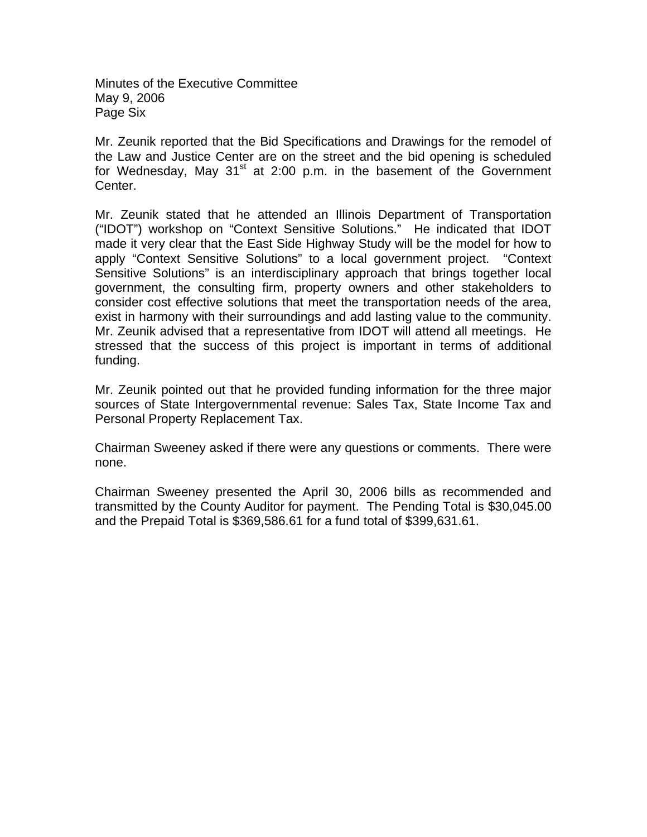Minutes of the Executive Committee May 9, 2006 Page Six

Mr. Zeunik reported that the Bid Specifications and Drawings for the remodel of the Law and Justice Center are on the street and the bid opening is scheduled for Wednesday, May 31 $^{\text{st}}$  at 2:00 p.m. in the basement of the Government Center.

Mr. Zeunik stated that he attended an Illinois Department of Transportation ("IDOT") workshop on "Context Sensitive Solutions." He indicated that IDOT made it very clear that the East Side Highway Study will be the model for how to apply "Context Sensitive Solutions" to a local government project. "Context Sensitive Solutions" is an interdisciplinary approach that brings together local government, the consulting firm, property owners and other stakeholders to consider cost effective solutions that meet the transportation needs of the area, exist in harmony with their surroundings and add lasting value to the community. Mr. Zeunik advised that a representative from IDOT will attend all meetings. He stressed that the success of this project is important in terms of additional funding.

Mr. Zeunik pointed out that he provided funding information for the three major sources of State Intergovernmental revenue: Sales Tax, State Income Tax and Personal Property Replacement Tax.

Chairman Sweeney asked if there were any questions or comments. There were none.

Chairman Sweeney presented the April 30, 2006 bills as recommended and transmitted by the County Auditor for payment. The Pending Total is \$30,045.00 and the Prepaid Total is \$369,586.61 for a fund total of \$399,631.61.